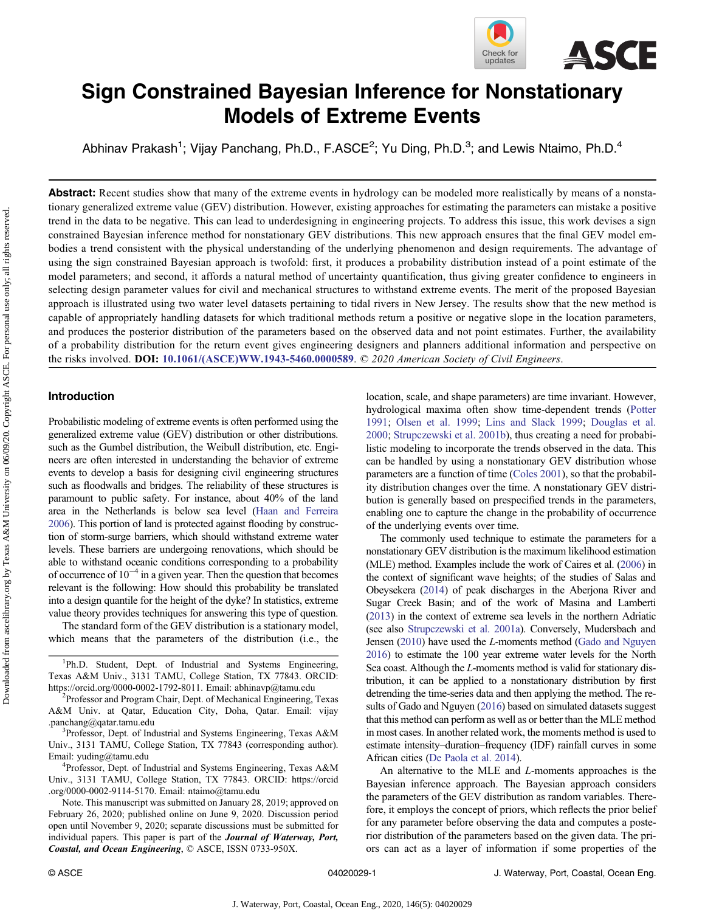

# Sign Constrained Bayesian Inference for Nonstationary Models of Extreme Events

Abhinav Prakash<sup>1</sup>; Vijay Panchang, Ph.D., F.ASCE<sup>2</sup>; Yu Ding, Ph.D.<sup>3</sup>; and Lewis Ntaimo, Ph.D.<sup>4</sup>

**Abstract:** Recent studies show that many of the extreme events in hydrology can be modeled more realistically by means of a nonstationary generalized extreme value (GEV) distribution. However, existing approaches for estimating the parameters can mistake a positive trend in the data to be negative. This can lead to underdesigning in engineering projects. To address this issue, this work devises a sign constrained Bayesian inference method for nonstationary GEV distributions. This new approach ensures that the final GEV model embodies a trend consistent with the physical understanding of the underlying phenomenon and design requirements. The advantage of using the sign constrained Bayesian approach is twofold: first, it produces a probability distribution instead of a point estimate of the model parameters; and second, it affords a natural method of uncertainty quantification, thus giving greater confidence to engineers in selecting design parameter values for civil and mechanical structures to withstand extreme events. The merit of the proposed Bayesian approach is illustrated using two water level datasets pertaining to tidal rivers in New Jersey. The results show that the new method is capable of appropriately handling datasets for which traditional methods return a positive or negative slope in the location parameters, and produces the posterior distribution of the parameters based on the observed data and not point estimates. Further, the availability of a probability distribution for the return event gives engineering designers and planners additional information and perspective on the risks involved. DOI: [10.1061/\(ASCE\)WW.1943-5460.0000589](https://doi.org/10.1061/(ASCE)WW.1943-5460.0000589). © 2020 American Society of Civil Engineers.

## Introduction

Downloaded from ascelibrary.org by Texas A&M University on 06/09/20. Copyright ASCE. For personal use only; all rights reserved.

Downloaded from ascelibrary org by Texas A&M University on 0609/20. Copyright ASCE. For personal use only; all rights reserved.

Probabilistic modeling of extreme events is often performed using the generalized extreme value (GEV) distribution or other distributions. such as the Gumbel distribution, the Weibull distribution, etc. Engineers are often interested in understanding the behavior of extreme events to develop a basis for designing civil engineering structures such as floodwalls and bridges. The reliability of these structures is paramount to public safety. For instance, about 40% of the land area in the Netherlands is below sea level [\(Haan and Ferreira](#page-7-0) [2006](#page-7-0)). This portion of land is protected against flooding by construction of storm-surge barriers, which should withstand extreme water levels. These barriers are undergoing renovations, which should be able to withstand oceanic conditions corresponding to a probability of occurrence of  $10^{-4}$  in a given year. Then the question that becomes relevant is the following: How should this probability be translated into a design quantile for the height of the dyke? In statistics, extreme value theory provides techniques for answering this type of question.

The standard form of the GEV distribution is a stationary model, which means that the parameters of the distribution (i.e., the

<sup>1</sup>Ph.D. Student, Dept. of Industrial and Systems Engineering, Texas A&M Univ., 3131 TAMU, College Station, TX 77843. ORCID: <https://orcid.org/0000-0002-1792-8011>. Email: [abhinavp@tamu.edu](mailto:abhinavp@tamu.edu)

Professor and Program Chair, Dept. of Mechanical Engineering, Texas A&M Univ. at Qatar, Education City, Doha, Qatar. Email: [vijay](mailto:vijay.panchang@qatar.tamu.edu) [.panchang@qatar.tamu.edu](mailto:vijay.panchang@qatar.tamu.edu) <sup>3</sup>

<sup>3</sup>Professor, Dept. of Industrial and Systems Engineering, Texas A&M Univ., 3131 TAMU, College Station, TX 77843 (corresponding author). Email: [yuding@tamu.edu](mailto:yuding@tamu.edu) <sup>4</sup>

Professor, Dept. of Industrial and Systems Engineering, Texas A&M Univ., 3131 TAMU, College Station, TX 77843. ORCID: [https://orcid](https://orcid.org/0000-0002-9114-5170) [.org/0000-0002-9114-5170.](https://orcid.org/0000-0002-9114-5170) Email: [ntaimo@tamu.edu](mailto:ntaimo@tamu.edu)

Note. This manuscript was submitted on January 28, 2019; approved on February 26, 2020; published online on June 9, 2020. Discussion period open until November 9, 2020; separate discussions must be submitted for individual papers. This paper is part of the Journal of Waterway, Port, Coastal, and Ocean Engineering, © ASCE, ISSN 0733-950X.

location, scale, and shape parameters) are time invariant. However, hydrological maxima often show time-dependent trends ([Potter](#page-8-0) [1991](#page-8-0); [Olsen et al. 1999;](#page-8-0) [Lins and Slack 1999](#page-8-0); [Douglas et al.](#page-7-0) [2000](#page-7-0); [Strupczewski et al. 2001b](#page-8-0)), thus creating a need for probabilistic modeling to incorporate the trends observed in the data. This can be handled by using a nonstationary GEV distribution whose parameters are a function of time ([Coles 2001](#page-7-0)), so that the probability distribution changes over the time. A nonstationary GEV distribution is generally based on prespecified trends in the parameters, enabling one to capture the change in the probability of occurrence of the underlying events over time.

The commonly used technique to estimate the parameters for a nonstationary GEV distribution is the maximum likelihood estimation (MLE) method. Examples include the work of Caires et al. [\(2006](#page-7-0)) in the context of significant wave heights; of the studies of Salas and Obeysekera ([2014](#page-8-0)) of peak discharges in the Aberjona River and Sugar Creek Basin; and of the work of Masina and Lamberti [\(2013](#page-8-0)) in the context of extreme sea levels in the northern Adriatic (see also [Strupczewski et al. 2001a\)](#page-8-0). Conversely, Mudersbach and Jensen ([2010](#page-8-0)) have used the L-moments method [\(Gado and Nguyen](#page-7-0) [2016](#page-7-0)) to estimate the 100 year extreme water levels for the North Sea coast. Although the L-moments method is valid for stationary distribution, it can be applied to a nonstationary distribution by first detrending the time-series data and then applying the method. The results of Gado and Nguyen [\(2016\)](#page-7-0) based on simulated datasets suggest that this method can perform as well as or better than the MLE method in most cases. In another related work, the moments method is used to estimate intensity–duration–frequency (IDF) rainfall curves in some African cities ([De Paola et al. 2014](#page-7-0)).

An alternative to the MLE and L-moments approaches is the Bayesian inference approach. The Bayesian approach considers the parameters of the GEV distribution as random variables. Therefore, it employs the concept of priors, which reflects the prior belief for any parameter before observing the data and computes a posterior distribution of the parameters based on the given data. The priors can act as a layer of information if some properties of the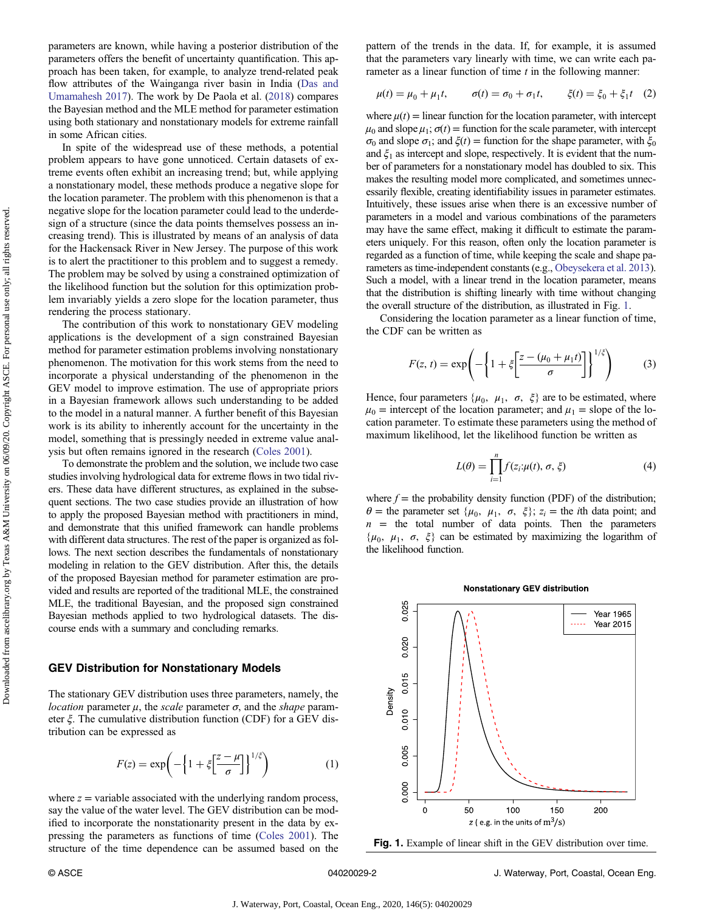<span id="page-1-0"></span>parameters are known, while having a posterior distribution of the parameters offers the benefit of uncertainty quantification. This approach has been taken, for example, to analyze trend-related peak flow attributes of the Wainganga river basin in India [\(Das and](#page-7-0) [Umamahesh 2017\)](#page-7-0). The work by De Paola et al. [\(2018](#page-7-0)) compares the Bayesian method and the MLE method for parameter estimation using both stationary and nonstationary models for extreme rainfall in some African cities.

In spite of the widespread use of these methods, a potential problem appears to have gone unnoticed. Certain datasets of extreme events often exhibit an increasing trend; but, while applying a nonstationary model, these methods produce a negative slope for the location parameter. The problem with this phenomenon is that a negative slope for the location parameter could lead to the underdesign of a structure (since the data points themselves possess an increasing trend). This is illustrated by means of an analysis of data for the Hackensack River in New Jersey. The purpose of this work is to alert the practitioner to this problem and to suggest a remedy. The problem may be solved by using a constrained optimization of the likelihood function but the solution for this optimization problem invariably yields a zero slope for the location parameter, thus rendering the process stationary.

The contribution of this work to nonstationary GEV modeling applications is the development of a sign constrained Bayesian method for parameter estimation problems involving nonstationary phenomenon. The motivation for this work stems from the need to incorporate a physical understanding of the phenomenon in the GEV model to improve estimation. The use of appropriate priors in a Bayesian framework allows such understanding to be added to the model in a natural manner. A further benefit of this Bayesian work is its ability to inherently account for the uncertainty in the model, something that is pressingly needed in extreme value analysis but often remains ignored in the research ([Coles 2001\)](#page-7-0).

To demonstrate the problem and the solution, we include two case studies involving hydrological data for extreme flows in two tidal rivers. These data have different structures, as explained in the subsequent sections. The two case studies provide an illustration of how to apply the proposed Bayesian method with practitioners in mind, and demonstrate that this unified framework can handle problems with different data structures. The rest of the paper is organized as follows. The next section describes the fundamentals of nonstationary modeling in relation to the GEV distribution. After this, the details of the proposed Bayesian method for parameter estimation are provided and results are reported of the traditional MLE, the constrained MLE, the traditional Bayesian, and the proposed sign constrained Bayesian methods applied to two hydrological datasets. The discourse ends with a summary and concluding remarks.

## GEV Distribution for Nonstationary Models

The stationary GEV distribution uses three parameters, namely, the *location* parameter  $\mu$ , the *scale* parameter  $\sigma$ , and the *shape* parameter ξ. The cumulative distribution function (CDF) for a GEV distribution can be expressed as

$$
F(z) = \exp\left(-\left\{1 + \xi \left[\frac{z - \mu}{\sigma}\right]\right\}^{1/\xi}\right) \tag{1}
$$

where  $z =$  variable associated with the underlying random process, say the value of the water level. The GEV distribution can be modified to incorporate the nonstationarity present in the data by expressing the parameters as functions of time [\(Coles 2001\)](#page-7-0). The structure of the time dependence can be assumed based on the pattern of the trends in the data. If, for example, it is assumed that the parameters vary linearly with time, we can write each parameter as a linear function of time  $t$  in the following manner:

$$
\mu(t) = \mu_0 + \mu_1 t, \qquad \sigma(t) = \sigma_0 + \sigma_1 t, \qquad \xi(t) = \xi_0 + \xi_1 t \quad (2)
$$

where  $\mu(t)$  = linear function for the location parameter, with intercept  $\mu_0$  and slope  $\mu_1$ ;  $\sigma(t)$  = function for the scale parameter, with intercept σ<sub>0</sub> and slope σ<sub>1</sub>; and  $ξ(t)$  = function for the shape parameter, with  $ξ_0$ and  $\xi_1$  as intercept and slope, respectively. It is evident that the number of parameters for a nonstationary model has doubled to six. This makes the resulting model more complicated, and sometimes unnecessarily flexible, creating identifiability issues in parameter estimates. Intuitively, these issues arise when there is an excessive number of parameters in a model and various combinations of the parameters may have the same effect, making it difficult to estimate the parameters uniquely. For this reason, often only the location parameter is regarded as a function of time, while keeping the scale and shape parameters as time-independent constants (e.g., [Obeysekera et al. 2013\)](#page-8-0). Such a model, with a linear trend in the location parameter, means that the distribution is shifting linearly with time without changing the overall structure of the distribution, as illustrated in Fig. 1.

Considering the location parameter as a linear function of time, the CDF can be written as

$$
F(z, t) = \exp\left(-\left\{1 + \xi \left[\frac{z - (\mu_0 + \mu_1 t)}{\sigma}\right]\right\}^{1/\xi}\right) \tag{3}
$$

Hence, four parameters { $\mu_0$ ,  $\mu_1$ ,  $\sigma$ ,  $\xi$ } are to be estimated, where  $\mu_0$  = intercept of the location parameter; and  $\mu_1$  = slope of the location parameter. To estimate these parameters using the method of maximum likelihood, let the likelihood function be written as

$$
L(\theta) = \prod_{i=1}^{n} f(z_i; \mu(t), \sigma, \xi)
$$
\n(4)

where  $f =$  the probability density function (PDF) of the distribution;  $\theta$  = the parameter set { $\mu_0$ ,  $\mu_1$ ,  $\sigma$ ,  $\xi$ };  $z_i$  = the *i*th data point; and  $n =$  the total number of data points. Then the parameters  $\{\mu_0, \mu_1, \sigma, \xi\}$  can be estimated by maximizing the logarithm of the likelihood function.

**Nonstationary GEV distribution** 



Fig. 1. Example of linear shift in the GEV distribution over time.

© ASCE 04020029-2 J. Waterway, Port, Coastal, Ocean Eng.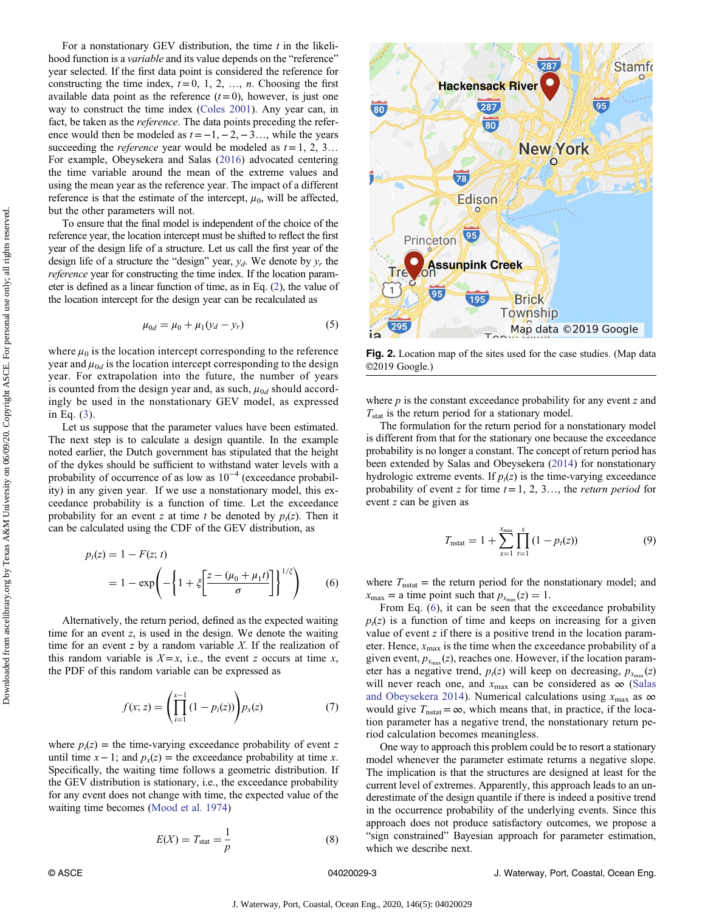Downloaded from ascelibrary.org by Texas A&M University on 06/09/20. Copyright ASCE. For personal use only; all rights reserved.Downloaded from ascelibrary org by Texas A&M University on 06/09/20. Copyright ASCE. For personal use only; all rights reserved.

<span id="page-2-0"></span>For a nonstationary GEV distribution, the time  $t$  in the likelihood function is a variable and its value depends on the "reference" year selected. If the first data point is considered the reference for constructing the time index,  $t = 0, 1, 2, ..., n$ . Choosing the first available data point as the reference  $(t=0)$ , however, is just one way to construct the time index [\(Coles 2001](#page-7-0)). Any year can, in fact, be taken as the reference. The data points preceding the reference would then be modeled as  $t = -1, -2, -3, \ldots$ , while the years succeeding the *reference* year would be modeled as  $t = 1, 2, 3...$ For example, Obeysekera and Salas ([2016\)](#page-8-0) advocated centering the time variable around the mean of the extreme values and using the mean year as the reference year. The impact of a different reference is that the estimate of the intercept,  $\mu_0$ , will be affected, but the other parameters will not.

To ensure that the final model is independent of the choice of the reference year, the location intercept must be shifted to reflect the first year of the design life of a structure. Let us call the first year of the design life of a structure the "design" year,  $y_d$ . We denote by  $y_r$  the reference year for constructing the time index. If the location parameter is defined as a linear function of time, as in Eq. [\(2\)](#page-1-0), the value of the location intercept for the design year can be recalculated as

$$
\mu_{0d} = \mu_0 + \mu_1(y_d - y_r) \tag{5}
$$

where  $\mu_0$  is the location intercept corresponding to the reference year and  $\mu_{0d}$  is the location intercept corresponding to the design year. For extrapolation into the future, the number of years is counted from the design year and, as such,  $\mu_{0d}$  should accordingly be used in the nonstationary GEV model, as expressed in Eq. ([3](#page-1-0)).

Let us suppose that the parameter values have been estimated. The next step is to calculate a design quantile. In the example noted earlier, the Dutch government has stipulated that the height of the dykes should be sufficient to withstand water levels with a probability of occurrence of as low as  $10^{-4}$  (exceedance probability) in any given year. If we use a nonstationary model, this exceedance probability is a function of time. Let the exceedance probability for an event z at time t be denoted by  $p_t(z)$ . Then it can be calculated using the CDF of the GEV distribution, as

$$
p_t(z) = 1 - F(z; t)
$$
  
= 1 - exp $\left(-\left\{1 + \xi \left[\frac{z - (\mu_0 + \mu_1 t)}{\sigma}\right]\right\}^{1/\xi}\right)$  (6)

Alternatively, the return period, defined as the expected waiting time for an event z, is used in the design. We denote the waiting time for an event  $z$  by a random variable  $X$ . If the realization of this random variable is  $X = x$ , i.e., the event z occurs at time x, the PDF of this random variable can be expressed as

$$
f(x; z) = \left(\prod_{i=1}^{x-1} (1 - p_i(z))\right) p_x(z) \tag{7}
$$

where  $p_i(z)$  = the time-varying exceedance probability of event z until time  $x - 1$ ; and  $p_x(z) =$  the exceedance probability at time x. Specifically, the waiting time follows a geometric distribution. If the GEV distribution is stationary, i.e., the exceedance probability for any event does not change with time, the expected value of the waiting time becomes ([Mood et al. 1974\)](#page-8-0)

$$
E(X) = T_{\text{stat}} = \frac{1}{p} \tag{8}
$$



Fig. 2. Location map of the sites used for the case studies. (Map data Ⓒ2019 Google.)

where  $p$  is the constant exceedance probability for any event  $z$  and  $T_{\text{stat}}$  is the return period for a stationary model.

The formulation for the return period for a nonstationary model is different from that for the stationary one because the exceedance probability is no longer a constant. The concept of return period has been extended by Salas and Obeysekera [\(2014](#page-8-0)) for nonstationary hydrologic extreme events. If  $p_1(z)$  is the time-varying exceedance probability of event z for time  $t = 1, 2, 3...$ , the *return period* for event z can be given as

$$
T_{\text{nstat}} = 1 + \sum_{x=1}^{x_{\text{max}}} \prod_{t=1}^{x} (1 - p_t(z))
$$
 (9)

where  $T_{\text{nstat}}$  = the return period for the nonstationary model; and  $x_{\text{max}} =$  a time point such that  $p_{x_{\text{max}}}(z) = 1$ .

From Eq. (6), it can be seen that the exceedance probability  $p_t(z)$  is a function of time and keeps on increasing for a given value of event  $z$  if there is a positive trend in the location parameter. Hence,  $x_{\text{max}}$  is the time when the exceedance probability of a given event,  $p_{x_{\text{max}}}(z)$ , reaches one. However, if the location parameter has a negative trend,  $p_t(z)$  will keep on decreasing,  $p_{x_{\text{max}}}(z)$ will never reach one, and  $x_{\text{max}}$  can be considered as  $\infty$  ([Salas](#page-8-0) [and Obeysekera 2014](#page-8-0)). Numerical calculations using  $x_{\text{max}}$  as  $\infty$ would give  $T_{\text{nstat}} = \infty$ , which means that, in practice, if the location parameter has a negative trend, the nonstationary return period calculation becomes meaningless.

One way to approach this problem could be to resort a stationary model whenever the parameter estimate returns a negative slope. The implication is that the structures are designed at least for the current level of extremes. Apparently, this approach leads to an underestimate of the design quantile if there is indeed a positive trend in the occurrence probability of the underlying events. Since this approach does not produce satisfactory outcomes, we propose a "sign constrained" Bayesian approach for parameter estimation, which we describe next.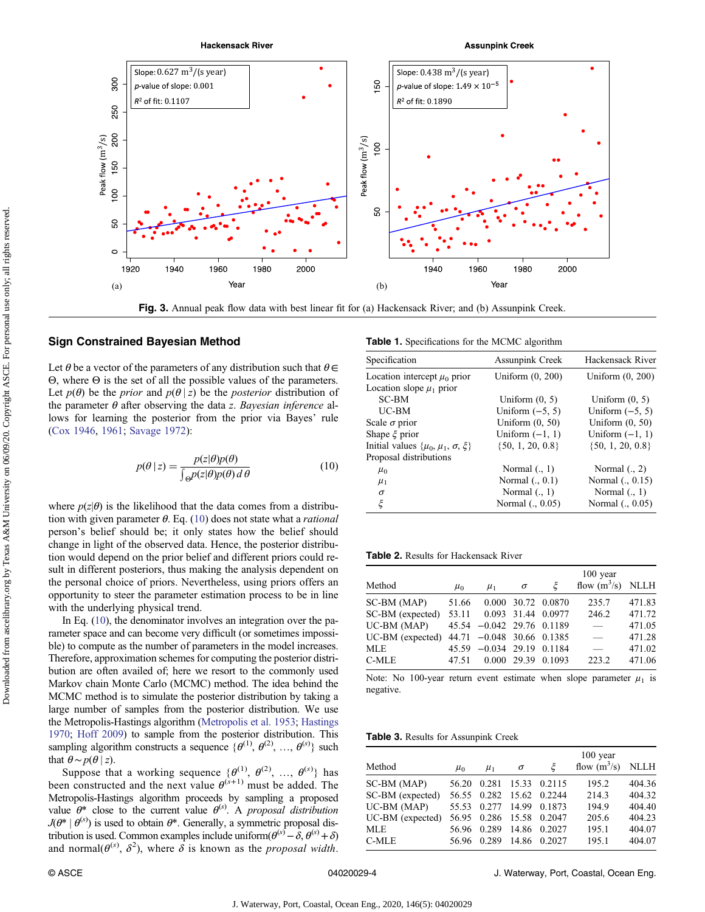<span id="page-3-0"></span>

Fig. 3. Annual peak flow data with best linear fit for (a) Hackensack River; and (b) Assunpink Creek.

## Sign Constrained Bayesian Method

Let  $\theta$  be a vector of the parameters of any distribution such that  $\theta \in$ Θ, where Θ is the set of all the possible values of the parameters. Let  $p(\theta)$  be the *prior* and  $p(\theta | z)$  be the *posterior* distribution of the parameter  $\theta$  after observing the data z. Bayesian inference allows for learning the posterior from the prior via Bayes' rule [\(Cox 1946,](#page-7-0) [1961](#page-7-0); [Savage 1972\)](#page-8-0):

$$
p(\theta \mid z) = \frac{p(z|\theta)p(\theta)}{\int_{\Theta} p(z|\theta)p(\theta) d\theta}
$$
(10)

where  $p(z|\theta)$  is the likelihood that the data comes from a distribution with given parameter  $\theta$ . Eq. (10) does not state what a *rational* person's belief should be; it only states how the belief should change in light of the observed data. Hence, the posterior distribution would depend on the prior belief and different priors could result in different posteriors, thus making the analysis dependent on the personal choice of priors. Nevertheless, using priors offers an opportunity to steer the parameter estimation process to be in line with the underlying physical trend.

In Eq. (10), the denominator involves an integration over the parameter space and can become very difficult (or sometimes impossible) to compute as the number of parameters in the model increases. Therefore, approximation schemes for computing the posterior distribution are often availed of; here we resort to the commonly used Markov chain Monte Carlo (MCMC) method. The idea behind the MCMC method is to simulate the posterior distribution by taking a large number of samples from the posterior distribution. We use the Metropolis-Hastings algorithm ([Metropolis et al. 1953;](#page-8-0) [Hastings](#page-7-0) [1970;](#page-7-0) [Hoff 2009](#page-7-0)) to sample from the posterior distribution. This sampling algorithm constructs a sequence  $\{\theta^{(1)}, \theta^{(2)}, ..., \theta^{(s)}\}$  such that  $\theta \sim p(\theta | z)$ .

Suppose that a working sequence  $\{\theta^{(1)}, \theta^{(2)}, ..., \theta^{(s)}\}$  has been constructed and the next value  $\theta^{(s+1)}$  must be added. The Metropolis-Hastings algorithm proceeds by sampling a proposed value  $\theta^*$  close to the current value  $\theta^{(s)}$ . A proposal distribution  $J(\theta^* | \theta^{(s)})$  is used to obtain  $\theta^*$ . Generally, a symmetric proposal distribution is used. Common examples include uniform $(\theta^{(s)} - \delta, \theta^{(s)} + \delta)$ and normal $(\theta^{(s)}, \delta^2)$ , where  $\delta$  is known as the *proposal width*.

Table 1. Specifications for the MCMC algorithm

| Specification                                  | <b>Assunpink Creek</b> | Hackensack River     |
|------------------------------------------------|------------------------|----------------------|
| Location intercept $\mu_0$ prior               | Uniform $(0, 200)$     | Uniform $(0, 200)$   |
| Location slope $\mu_1$ prior                   |                        |                      |
| SC-BM                                          | Uniform $(0, 5)$       | Uniform $(0, 5)$     |
| UC-BM                                          | Uniform $(-5, 5)$      | Uniform $(-5, 5)$    |
| Scale $\sigma$ prior                           | Uniform $(0, 50)$      | Uniform $(0, 50)$    |
| Shape $\xi$ prior                              | Uniform $(-1, 1)$      | Uniform $(-1, 1)$    |
| Initial values $\{\mu_0, \mu_1, \sigma, \xi\}$ | $\{50, 1, 20, 0.8\}$   | $\{50, 1, 20, 0.8\}$ |
| Proposal distributions                         |                        |                      |
| $\mu_0$                                        | Normal $(., 1)$        | Normal $(., 2)$      |
| $\mu_1$                                        | Normal $(., 0.1)$      | Normal (., 0.15)     |
| $\sigma$                                       | Normal $(., 1)$        | Normal $(., 1)$      |
| ξ                                              | Normal (., 0.05)       | Normal (., 0.05)     |

#### Table 2. Results for Hackensack River

| Method                                    | $\mu_0$ | $\mu_1$                     | $\sigma$ | ع                  | $100$ year<br>flow $(m^3/s)$ NLLH |        |
|-------------------------------------------|---------|-----------------------------|----------|--------------------|-----------------------------------|--------|
| SC-BM (MAP)                               | 51.66   |                             |          | 0.000 30.72 0.0870 | 235.7                             | 471.83 |
| SC-BM (expected) 53.11 0.093 31.44 0.0977 |         |                             |          |                    | 246.2                             | 471.72 |
| UC-BM (MAP)                               |         | $45.54 -0.042$ 29.76 0.1189 |          |                    | $\frac{1}{2}$                     | 471.05 |
| UC-BM (expected)                          |         | 44.71 -0.048 30.66 0.1385   |          |                    | $\equiv$                          | 471.28 |
| MLE                                       |         | 45.59 -0.034 29.19 0.1184   |          |                    | $\overline{\phantom{m}}$          | 471.02 |
| C-MLE                                     | 47.51   |                             |          | 0.000 29.39 0.1093 | 223.2                             | 471.06 |

Note: No 100-year return event estimate when slope parameter  $\mu_1$  is negative.

Table 3. Results for Assunpink Creek

|                  |         |             |          |                          | $100$ year          |        |  |
|------------------|---------|-------------|----------|--------------------------|---------------------|--------|--|
| Method           | $\mu_0$ | $\mu_1$     | $\sigma$ | Έ                        | flow $(m^3/s)$ NLLH |        |  |
| SC-BM (MAP)      |         |             |          | 56.20 0.281 15.33 0.2115 | 195.2               | 404.36 |  |
| SC-BM (expected) |         |             |          | 56.55 0.282 15.62 0.2244 | 214.3               | 404.32 |  |
| $UC-BM (MAP)$    |         |             |          | 55.53 0.277 14.99 0.1873 | 194.9               | 404.40 |  |
| UC-BM (expected) |         |             |          | 56.95 0.286 15.58 0.2047 | 205.6               | 404.23 |  |
| <b>MLE</b>       |         |             |          | 56.96 0.289 14.86 0.2027 | 195.1               | 404.07 |  |
| C-MLE            |         | 56.96 0.289 |          | 14.86 0.2027             | 195.1               | 404.07 |  |

© ASCE 04020029-4 J. Waterway, Port, Coastal, Ocean Eng.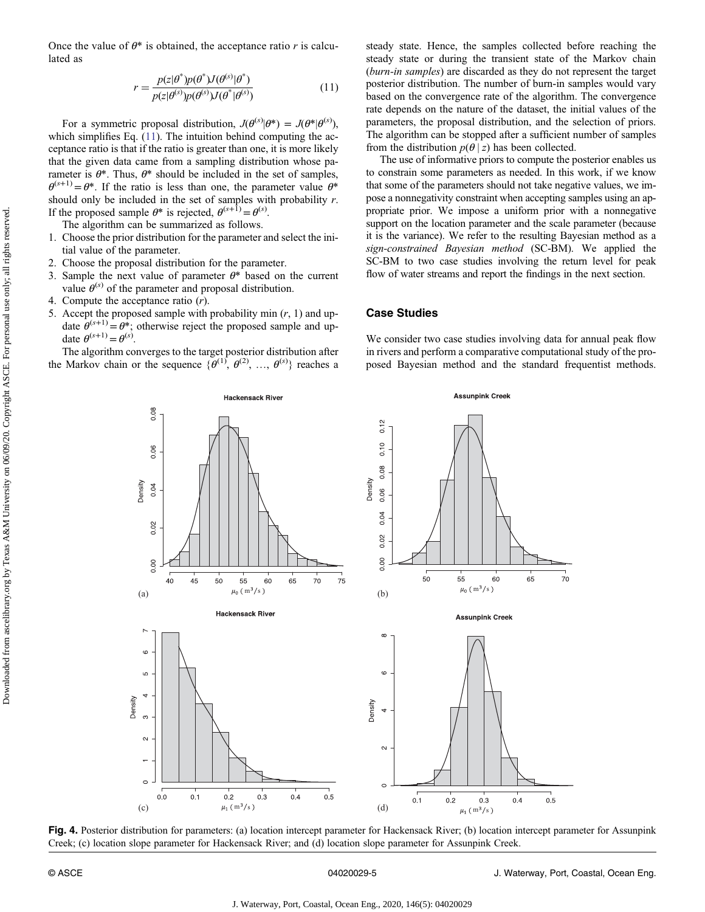Downloaded from ascelibrary.org by Texas A&M University on 06/09/20. Copyright ASCE. For personal use only; all rights reserved.Downloaded from ascelibrary.org by Texas A&M University on 0609/20. Copyright ASCE. For personal use only; all rights reserved.

<span id="page-4-0"></span>Once the value of  $\theta^*$  is obtained, the acceptance ratio r is calculated as

$$
r = \frac{p(z|\theta^*)p(\theta^*)J(\theta^{(s)}|\theta^*)}{p(z|\theta^{(s)})p(\theta^{(s)})J(\theta^*|\theta^{(s)})}
$$
(11)

For a symmetric proposal distribution,  $J(\theta^{(s)}|\theta^*) = J(\theta^*|\theta^{(s)})$ , which simplifies Eq. (11). The intuition behind computing the acceptance ratio is that if the ratio is greater than one, it is more likely that the given data came from a sampling distribution whose parameter is  $\theta^*$ . Thus,  $\theta^*$  should be included in the set of samples,  $\theta^{(s+1)} = \theta^*$ . If the ratio is less than one, the parameter value  $\theta^*$ should only be included in the set of samples with probability  $r$ . If the proposed sample  $\theta^*$  is rejected,  $\theta^{(s+1)} = \theta^{(s)}$ .

The algorithm can be summarized as follows.

- 1. Choose the prior distribution for the parameter and select the initial value of the parameter.
- 2. Choose the proposal distribution for the parameter.
- 3. Sample the next value of parameter  $\theta^*$  based on the current value  $\theta^{(s)}$  of the parameter and proposal distribution.
- 4. Compute the acceptance ratio (r).
- 5. Accept the proposed sample with probability min  $(r, 1)$  and update  $\hat{\theta}^{(s+1)} = \theta^*$ ; otherwise reject the proposed sample and update  $\theta^{(s+1)} = \theta^{(s)}$ .

The algorithm converges to the target posterior distribution after the Markov chain or the sequence  $\{\theta^{(1)}, \theta^{(2)}, \dots, \theta^{(s)}\}$  reaches a

**Hackensack River** 

steady state. Hence, the samples collected before reaching the steady state or during the transient state of the Markov chain (burn-in samples) are discarded as they do not represent the target posterior distribution. The number of burn-in samples would vary based on the convergence rate of the algorithm. The convergence rate depends on the nature of the dataset, the initial values of the parameters, the proposal distribution, and the selection of priors. The algorithm can be stopped after a sufficient number of samples from the distribution  $p(\theta | z)$  has been collected.

The use of informative priors to compute the posterior enables us to constrain some parameters as needed. In this work, if we know that some of the parameters should not take negative values, we impose a nonnegativity constraint when accepting samples using an appropriate prior. We impose a uniform prior with a nonnegative support on the location parameter and the scale parameter (because it is the variance). We refer to the resulting Bayesian method as a sign-constrained Bayesian method (SC-BM). We applied the SC-BM to two case studies involving the return level for peak flow of water streams and report the findings in the next section.

## Case Studies

We consider two case studies involving data for annual peak flow in rivers and perform a comparative computational study of the proposed Bayesian method and the standard frequentist methods.

**Assunpink Creek** 



Fig. 4. Posterior distribution for parameters: (a) location intercept parameter for Hackensack River; (b) location intercept parameter for Assunpink Creek; (c) location slope parameter for Hackensack River; and (d) location slope parameter for Assunpink Creek.

© ASCE 04020029-5 J. Waterway, Port, Coastal, Ocean Eng.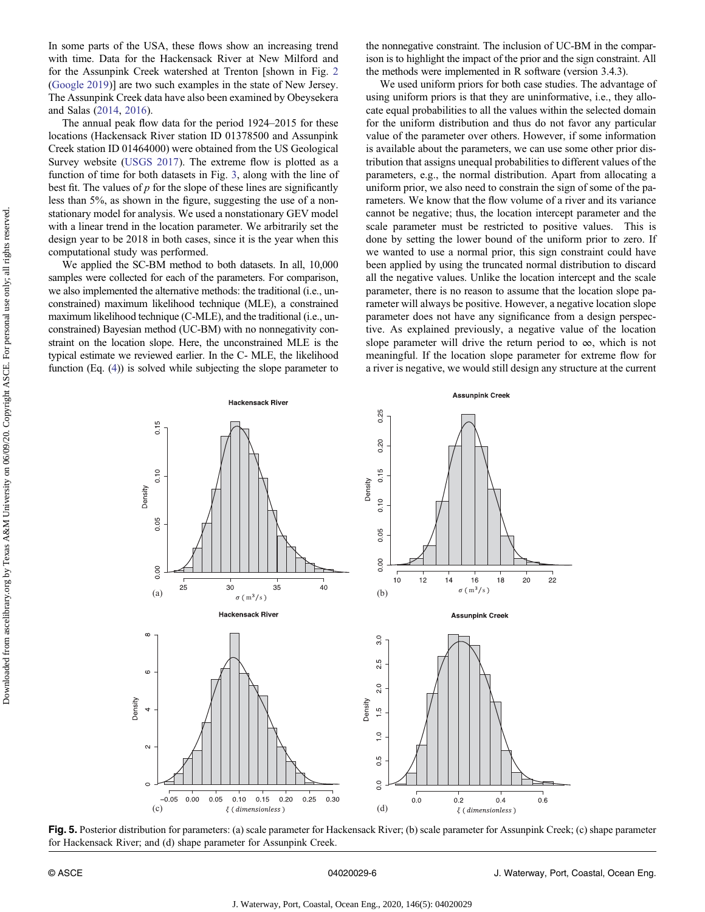<span id="page-5-0"></span>In some parts of the USA, these flows show an increasing trend with time. Data for the Hackensack River at New Milford and for the Assunpink Creek watershed at Trenton [shown in Fig. [2](#page-2-0) [\(Google 2019\)](#page-7-0)] are two such examples in the state of New Jersey. The Assunpink Creek data have also been examined by Obeysekera and Salas [\(2014](#page-8-0), [2016\)](#page-8-0).

The annual peak flow data for the period 1924–2015 for these locations (Hackensack River station ID 01378500 and Assunpink Creek station ID 01464000) were obtained from the US Geological Survey website [\(USGS 2017](#page-8-0)). The extreme flow is plotted as a function of time for both datasets in Fig. [3,](#page-3-0) along with the line of best fit. The values of  $p$  for the slope of these lines are significantly less than 5%, as shown in the figure, suggesting the use of a nonstationary model for analysis. We used a nonstationary GEV model with a linear trend in the location parameter. We arbitrarily set the design year to be 2018 in both cases, since it is the year when this computational study was performed.

We applied the SC-BM method to both datasets. In all, 10,000 samples were collected for each of the parameters. For comparison, we also implemented the alternative methods: the traditional (i.e., unconstrained) maximum likelihood technique (MLE), a constrained maximum likelihood technique (C-MLE), and the traditional (i.e., unconstrained) Bayesian method (UC-BM) with no nonnegativity constraint on the location slope. Here, the unconstrained MLE is the typical estimate we reviewed earlier. In the C- MLE, the likelihood function (Eq. [\(4\)](#page-1-0)) is solved while subjecting the slope parameter to the nonnegative constraint. The inclusion of UC-BM in the comparison is to highlight the impact of the prior and the sign constraint. All the methods were implemented in R software (version 3.4.3).

We used uniform priors for both case studies. The advantage of using uniform priors is that they are uninformative, i.e., they allocate equal probabilities to all the values within the selected domain for the uniform distribution and thus do not favor any particular value of the parameter over others. However, if some information is available about the parameters, we can use some other prior distribution that assigns unequal probabilities to different values of the parameters, e.g., the normal distribution. Apart from allocating a uniform prior, we also need to constrain the sign of some of the parameters. We know that the flow volume of a river and its variance cannot be negative; thus, the location intercept parameter and the scale parameter must be restricted to positive values. This is done by setting the lower bound of the uniform prior to zero. If we wanted to use a normal prior, this sign constraint could have been applied by using the truncated normal distribution to discard all the negative values. Unlike the location intercept and the scale parameter, there is no reason to assume that the location slope parameter will always be positive. However, a negative location slope parameter does not have any significance from a design perspective. As explained previously, a negative value of the location slope parameter will drive the return period to  $\infty$ , which is not meaningful. If the location slope parameter for extreme flow for a river is negative, we would still design any structure at the current



Fig. 5. Posterior distribution for parameters: (a) scale parameter for Hackensack River; (b) scale parameter for Assunpink Creek; (c) shape parameter for Hackensack River; and (d) shape parameter for Assunpink Creek.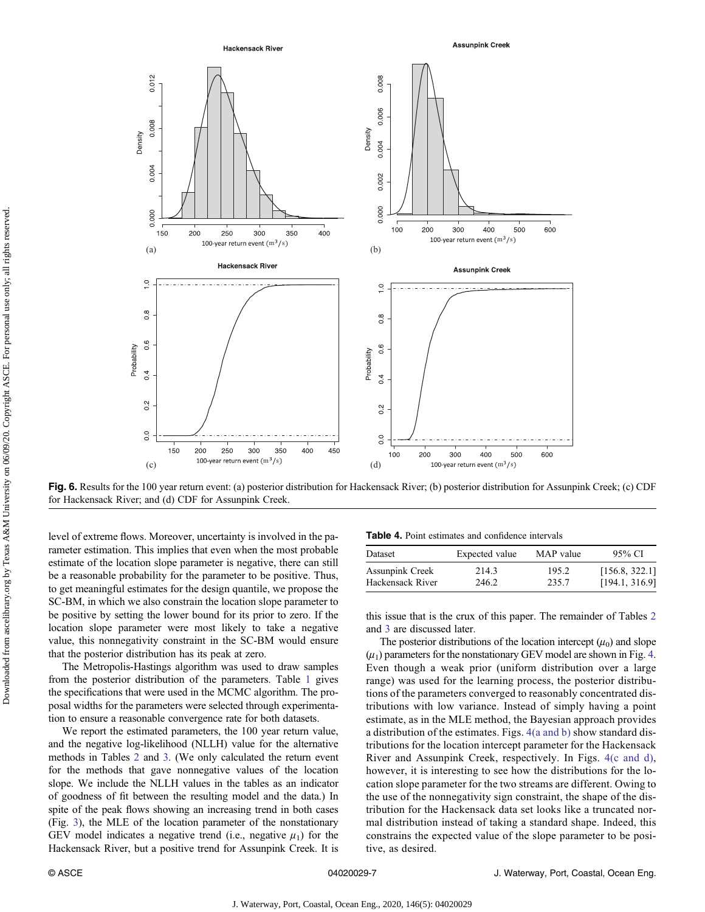<span id="page-6-0"></span>

Fig. 6. Results for the 100 year return event: (a) posterior distribution for Hackensack River; (b) posterior distribution for Assunpink Creek; (c) CDF for Hackensack River; and (d) CDF for Assunpink Creek.

level of extreme flows. Moreover, uncertainty is involved in the parameter estimation. This implies that even when the most probable estimate of the location slope parameter is negative, there can still be a reasonable probability for the parameter to be positive. Thus, to get meaningful estimates for the design quantile, we propose the SC-BM, in which we also constrain the location slope parameter to be positive by setting the lower bound for its prior to zero. If the location slope parameter were most likely to take a negative value, this nonnegativity constraint in the SC-BM would ensure that the posterior distribution has its peak at zero.

The Metropolis-Hastings algorithm was used to draw samples from the posterior distribution of the parameters. Table [1](#page-3-0) gives the specifications that were used in the MCMC algorithm. The proposal widths for the parameters were selected through experimentation to ensure a reasonable convergence rate for both datasets.

We report the estimated parameters, the 100 year return value, and the negative log-likelihood (NLLH) value for the alternative methods in Tables [2](#page-3-0) and [3](#page-3-0). (We only calculated the return event for the methods that gave nonnegative values of the location slope. We include the NLLH values in the tables as an indicator of goodness of fit between the resulting model and the data.) In spite of the peak flows showing an increasing trend in both cases (Fig. [3](#page-3-0)), the MLE of the location parameter of the nonstationary GEV model indicates a negative trend (i.e., negative  $\mu_1$ ) for the Hackensack River, but a positive trend for Assunpink Creek. It is

|  |  |  | <b>Table 4.</b> Point estimates and confidence intervals |
|--|--|--|----------------------------------------------------------|
|--|--|--|----------------------------------------------------------|

| Dataset                | Expected value | MAP value | 95% CI         |
|------------------------|----------------|-----------|----------------|
| <b>Assunpink Creek</b> | 214.3          | 195.2     | [156.8, 322.1] |
| Hackensack River       | 246.2          | 235.7     | [194.1, 316.9] |

this issue that is the crux of this paper. The remainder of Tables [2](#page-3-0) and [3](#page-3-0) are discussed later.

The posterior distributions of the location intercept  $(\mu_0)$  and slope  $(\mu_1)$  parameters for the nonstationary GEV model are shown in Fig. [4.](#page-4-0) Even though a weak prior (uniform distribution over a large range) was used for the learning process, the posterior distributions of the parameters converged to reasonably concentrated distributions with low variance. Instead of simply having a point estimate, as in the MLE method, the Bayesian approach provides a distribution of the estimates. Figs. [4\(a and b\)](#page-4-0) show standard distributions for the location intercept parameter for the Hackensack River and Assunpink Creek, respectively. In Figs. [4\(c and d\),](#page-4-0) however, it is interesting to see how the distributions for the location slope parameter for the two streams are different. Owing to the use of the nonnegativity sign constraint, the shape of the distribution for the Hackensack data set looks like a truncated normal distribution instead of taking a standard shape. Indeed, this constrains the expected value of the slope parameter to be positive, as desired.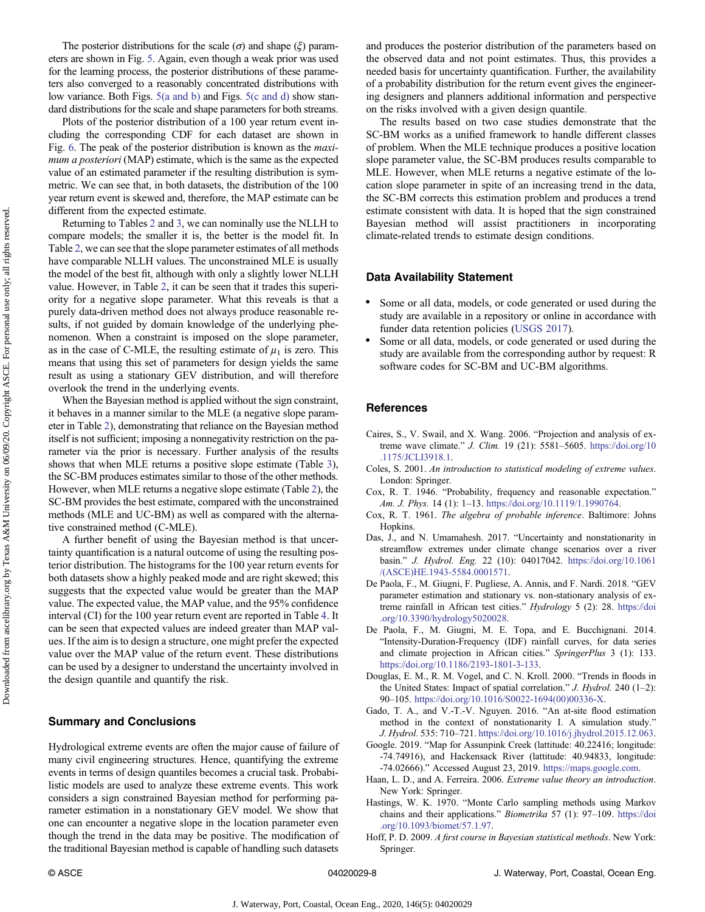<span id="page-7-0"></span>The posterior distributions for the scale ( $\sigma$ ) and shape ( $\xi$ ) parameters are shown in Fig. [5](#page-5-0). Again, even though a weak prior was used for the learning process, the posterior distributions of these parameters also converged to a reasonably concentrated distributions with low variance. Both Figs. [5\(a and b\)](#page-5-0) and Figs. [5\(c and d\)](#page-5-0) show standard distributions for the scale and shape parameters for both streams.

Plots of the posterior distribution of a 100 year return event including the corresponding CDF for each dataset are shown in Fig. [6](#page-6-0). The peak of the posterior distribution is known as the maximum a posteriori (MAP) estimate, which is the same as the expected value of an estimated parameter if the resulting distribution is symmetric. We can see that, in both datasets, the distribution of the 100 year return event is skewed and, therefore, the MAP estimate can be different from the expected estimate.

Returning to Tables [2](#page-3-0) and [3,](#page-3-0) we can nominally use the NLLH to compare models; the smaller it is, the better is the model fit. In Table [2,](#page-3-0) we can see that the slope parameter estimates of all methods have comparable NLLH values. The unconstrained MLE is usually the model of the best fit, although with only a slightly lower NLLH value. However, in Table [2,](#page-3-0) it can be seen that it trades this superiority for a negative slope parameter. What this reveals is that a purely data-driven method does not always produce reasonable results, if not guided by domain knowledge of the underlying phenomenon. When a constraint is imposed on the slope parameter, as in the case of C-MLE, the resulting estimate of  $\mu_1$  is zero. This means that using this set of parameters for design yields the same result as using a stationary GEV distribution, and will therefore overlook the trend in the underlying events.

When the Bayesian method is applied without the sign constraint, it behaves in a manner similar to the MLE (a negative slope parameter in Table [2](#page-3-0)), demonstrating that reliance on the Bayesian method itself is not sufficient; imposing a nonnegativity restriction on the parameter via the prior is necessary. Further analysis of the results shows that when MLE returns a positive slope estimate (Table [3\)](#page-3-0), the SC-BM produces estimates similar to those of the other methods. However, when MLE returns a negative slope estimate (Table [2](#page-3-0)), the SC-BM provides the best estimate, compared with the unconstrained methods (MLE and UC-BM) as well as compared with the alternative constrained method (C-MLE).

A further benefit of using the Bayesian method is that uncertainty quantification is a natural outcome of using the resulting posterior distribution. The histograms for the 100 year return events for both datasets show a highly peaked mode and are right skewed; this suggests that the expected value would be greater than the MAP value. The expected value, the MAP value, and the 95% confidence interval (CI) for the 100 year return event are reported in Table [4.](#page-6-0) It can be seen that expected values are indeed greater than MAP values. If the aim is to design a structure, one might prefer the expected value over the MAP value of the return event. These distributions can be used by a designer to understand the uncertainty involved in the design quantile and quantify the risk.

# Summary and Conclusions

Hydrological extreme events are often the major cause of failure of many civil engineering structures. Hence, quantifying the extreme events in terms of design quantiles becomes a crucial task. Probabilistic models are used to analyze these extreme events. This work considers a sign constrained Bayesian method for performing parameter estimation in a nonstationary GEV model. We show that one can encounter a negative slope in the location parameter even though the trend in the data may be positive. The modification of the traditional Bayesian method is capable of handling such datasets

and produces the posterior distribution of the parameters based on the observed data and not point estimates. Thus, this provides a needed basis for uncertainty quantification. Further, the availability of a probability distribution for the return event gives the engineering designers and planners additional information and perspective on the risks involved with a given design quantile.

The results based on two case studies demonstrate that the SC-BM works as a unified framework to handle different classes of problem. When the MLE technique produces a positive location slope parameter value, the SC-BM produces results comparable to MLE. However, when MLE returns a negative estimate of the location slope parameter in spite of an increasing trend in the data, the SC-BM corrects this estimation problem and produces a trend estimate consistent with data. It is hoped that the sign constrained Bayesian method will assist practitioners in incorporating climate-related trends to estimate design conditions.

# Data Availability Statement

- Some or all data, models, or code generated or used during the study are available in a repository or online in accordance with funder data retention policies [\(USGS 2017](#page-8-0)).
- Some or all data, models, or code generated or used during the study are available from the corresponding author by request: R software codes for SC-BM and UC-BM algorithms.

## References

- Caires, S., V. Swail, and X. Wang. 2006. "Projection and analysis of extreme wave climate." J. Clim. 19 (21): 5581–5605. [https://doi.org/10](https://doi.org/10.1175/JCLI3918.1) [.1175/JCLI3918.1.](https://doi.org/10.1175/JCLI3918.1)
- Coles, S. 2001. An introduction to statistical modeling of extreme values. London: Springer.
- Cox, R. T. 1946. "Probability, frequency and reasonable expectation." Am. J. Phys. 14 (1): 1–13. [https://doi.org/10.1119/1.1990764.](https://doi.org/10.1119/1.1990764)
- Cox, R. T. 1961. The algebra of probable inference. Baltimore: Johns Hopkins.
- Das, J., and N. Umamahesh. 2017. "Uncertainty and nonstationarity in streamflow extremes under climate change scenarios over a river basin." J. Hydrol. Eng. 22 (10): 04017042. [https://doi.org/10.1061](https://doi.org/10.1061/(ASCE)HE.1943-5584.0001571) [/\(ASCE\)HE.1943-5584.0001571](https://doi.org/10.1061/(ASCE)HE.1943-5584.0001571).
- De Paola, F., M. Giugni, F. Pugliese, A. Annis, and F. Nardi. 2018. "GEV parameter estimation and stationary vs. non-stationary analysis of extreme rainfall in African test cities." Hydrology 5 (2): 28. [https://doi](https://doi.org/10.3390/hydrology5020028) [.org/10.3390/hydrology5020028](https://doi.org/10.3390/hydrology5020028).
- De Paola, F., M. Giugni, M. E. Topa, and E. Bucchignani. 2014. "Intensity-Duration-Frequency (IDF) rainfall curves, for data series and climate projection in African cities." SpringerPlus 3 (1): 133. [https://doi.org/10.1186/2193-1801-3-133.](https://doi.org/10.1186/2193-1801-3-133)
- Douglas, E. M., R. M. Vogel, and C. N. Kroll. 2000. "Trends in floods in the United States: Impact of spatial correlation." J. Hydrol. 240 (1-2): 90–105. [https://doi.org/10.1016/S0022-1694\(00\)00336-X](https://doi.org/10.1016/S0022-1694(00)00336-X).
- Gado, T. A., and V.-T.-V. Nguyen. 2016. "An at-site flood estimation method in the context of nonstationarity I. A simulation study." J. Hydrol. 535: 710–721. [https://doi.org/10.1016/j.jhydrol.2015.12.063.](https://doi.org/10.1016/j.jhydrol.2015.12.063)
- Google. 2019. "Map for Assunpink Creek (lattitude: 40.22416; longitude: -74.74916), and Hackensack River (lattitude: 40.94833, longitude: -74.02666)." Accessed August 23, 2019. [https://maps.google.com.](http://maps.google.com)
- Haan, L. D., and A. Ferreira. 2006. Extreme value theory an introduction. New York: Springer.
- Hastings, W. K. 1970. "Monte Carlo sampling methods using Markov chains and their applications." Biometrika 57 (1): 97-109. [https://doi](https://doi.org/10.1093/biomet/57.1.97) [.org/10.1093/biomet/57.1.97.](https://doi.org/10.1093/biomet/57.1.97)
- Hoff, P. D. 2009. A first course in Bayesian statistical methods. New York: Springer.